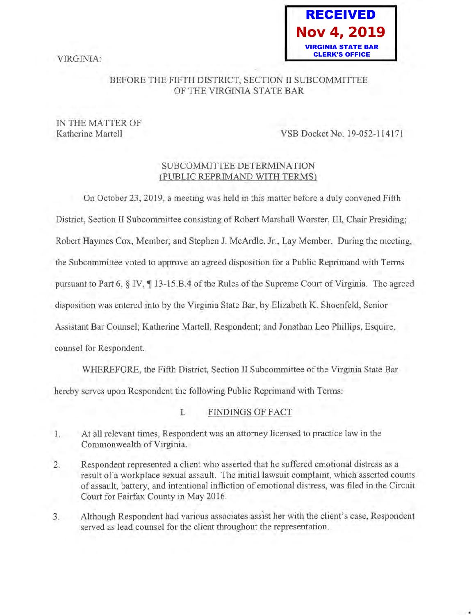VIRGINIA:



## BEFORE THE FIFTH DISTRICT, SECTION II SUBCOMMITTEE OF THE VIRGINIA STATE BAR

# IN THE MATTER OF

Katherine Martell VSB Docket No. 19-052-114171

## SUBCOMMITTEE DETERMINATION (PUBLIC REPRIMAND WITH TERMS)

On October 23, 2019, a meeting was held in this matter before a duly convened Fifth District, Section II Subcommittee consisting of Robert Marshall Worster, III, Chair Presiding; Robert Haymes Cox, Member; and Stephen J. McArdle, Jr., Lay Member. During the meeting, the Subcommittee voted to approve an agreed disposition for a Public Reprimand with Terms pursuant to Part 6,  $\S$  IV,  $\P$  13-15.B.4 of the Rules of the Supreme Court of Virginia. The agreed disposition was entered into by the Virginia State Bar, by Elizabeth K. Shoenfeld, Senior Assistant Bar Counsel; Katherine Martell, Respondent; and Jonathan Leo Phillips, Esquire, counsel for Respondent.

WHEREFORE, the Fifth District, Section II Subcommittee of the Virginia State Bar

hereby serves upon Respondent the following Public Reprimand with Terms:

## I. FINDINGS OF FACT

- 1. At all relevant times, Respondent was an attorney licensed to practice law in the Commonwealth of Virginia.
- 2. Respondent represented a client who asserted that he suffered emotional distress as a result of a workplace sexual assault. The initial lawsuit complaint, which asserted counts of assault, battery, and intentional infliction of emotional distress, was filed in the Circuit Court for Fairfax County in May 2016.
- 3. Although Respondent had various associates assist her with the client's case, Respondent served as lead counsel for the client throughout the representation.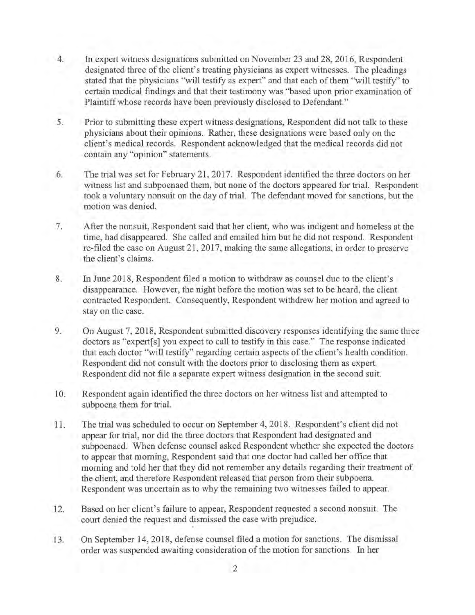- 4. In expert witness designations submitted on November 23 and 28, 2016, Respondent designated three of the client's treating physicians as expert witnesses. The pleadings stated that the physicians "will testify as expert" and that each of them "will testify" to certain medical findings and that their testimony was "based upon prior examination of Plaintiff whose records have been previously disclosed to Defendant."
- 5. Prior to submitting these expert witness designations, Respondent did not talk to these physicians about their opinions. Rather, these designations were based only on the client's medical records. Respondent acknowledged that the medical records did not contain any "opinion" statements.
- 6. The trial was set for February 21, 2017. Respondent identified the three doctors on her witness list and subpoenaed them, but none of the doctors appeared for trial. Respondent took a voluntary nonsuit on the day of trial. The defendant moved for sanctions, but the motion was denied.
- 7. After the nonsuit, Respondent said that her client, who was indigent and homeless at the time, had disappeared. She called and emailed him but he did not respond. Respondent re-filed the case on August 21, 2017, making the same allegations, in order to preserve the client's claims.
- 8. In June 2018, Respondent filed a motion to withdraw as counsel due to the client's disappearance. However, the night before the motion was set to be heard, the client contracted Respondent. Consequently, Respondent withdrew her motion and agreed to stay on the case.
- 9. On August 7, 2018, Respondent submitted discovery responses identifying the same three doctors as "expert[s] you expect to call to testify in this case." The response indicated that each doctor "will testify" regarding certain aspects of the client's health condition. Respondent did not consult with the doctors prior to disclosing them as expert. Respondent did not file a separate expert witness designation in the second suit.
- 10. Respondent again identified the three doctors on her witness list and attempted to subpoena them for trial.
- 11. The trial was scheduled to occur on September 4, 2018. Respondent's client did not appear for trial, nor did the three doctors that Respondent had designated and subpoenaed. When defense counsel asked Respondent whether she expected the doctors to appear that morning, Respondent said that one doctor had called her office that morning and told her that they did not remember any details regarding their treatment of the client, and therefore Respondent released that person from their subpoena. Respondent was uncertain as to why the remaining two witnesses failed to appear.
- 12. Based on her client's failure to appear, Respondent requested a second nonsuit. The court denied the request and dismissed the case with prejudice.
- 13. On September 14, 2018, defense counsel filed a motion for sanctions. The dismissal order was suspended awaiting consideration of the motion for sanctions. In her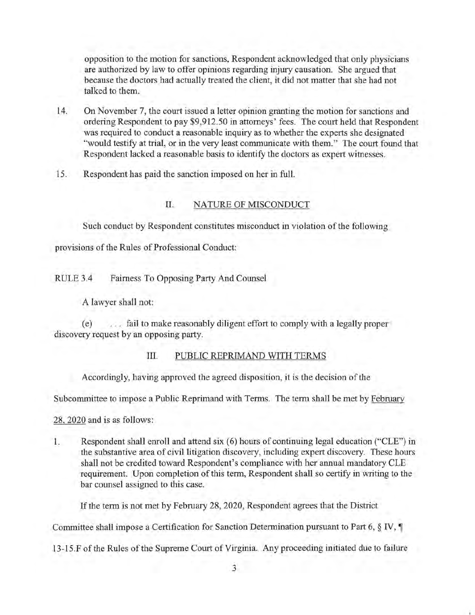opposition to the motion for sanctions, Respondent acknowledged that only physicians are authorized by law to offer opinions regarding injury causation. She argued that because the doctors had actually treated the client, it did not matter that she had not talked to them.

- 14. On November 7, the court issued a letter opinion granting the motion for sanctions and ordering Respondent to pay \$9,912.50 in attorneys' fees. The court held that Respondent was required to conduct a reasonable inquiry as to whether the experts she designated "would testify at trial, or in the very least communicate with them." The court found that Respondent lacked a reasonable basis to identify the doctors as expert witnesses.
- 15. Respondent has paid the sanction imposed on her in full.

### II. NATURE OF MISCONDUCT

Such conduct by Respondent constitutes misconduct in violation of the following

provisions of the Rules of Professional Conduct:

RULE 3.4 Fairness To Opposing Party And Counsel

A lawyer shall not:

( e) . . . fail to make reasonably diligent effort to comply with a legally proper discovery request by an opposing party.

#### III. PUBLIC REPRIMAND WITH TERMS

Accordingly, having approved the agreed disposition, it is the decision of the

Subcommittee to impose a Public Reprimand with Terms. The term shall be met by February

28, 2020 and is as follows:

1. Respondent shall enroll and attend six (6) hours of continuing legal education ("CLE") in the substantive area of civil litigation discovery, including expert discovery. These hours shall not be credited toward Respondent's compliance with her annual mandatory CLE requirement. Upon completion of this term, Respondent shall so certify in writing to the bar counsel assigned to this case.

If the term is not met by February 28, 2020, Respondent agrees that the District

Committee shall impose a Certification for Sanction Determination pursuant to Part 6,  $\S$  IV,  $\P$ 

13-15.F of the Rules of the Supreme Court of Virginia. Any proceeding initiated due to failure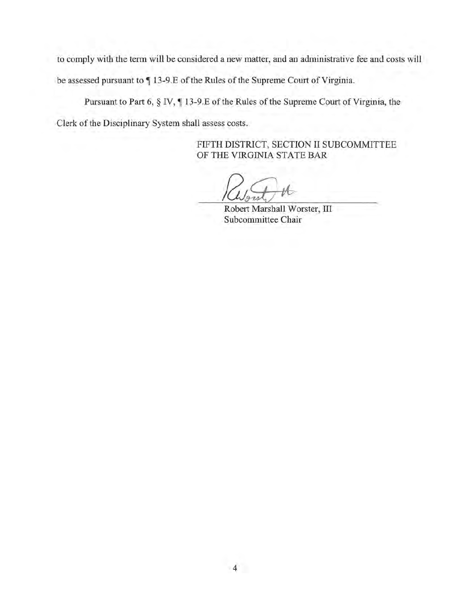to comply with the term will be considered a new matter, and an administrative fee and costs will

be assessed pursuant to  $\P$  13-9.E of the Rules of the Supreme Court of Virginia.

Pursuant to Part 6,  $\S$  IV,  $\P$  13-9.E of the Rules of the Supreme Court of Virginia, the

Clerk of the Disciplinary System shall assess costs.

FIFTH DISTRICT, SECTION II SUBCOMMITTEE OF THE VIRGINIA STATE BAR

Robert Marshall Worster, III Subcommittee Chair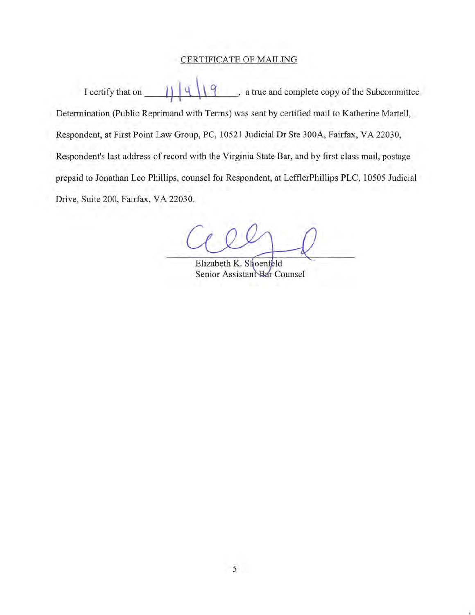## CERTIFICATE OF MAILING

I certify that on  $\left[\begin{array}{c|c} 1 & 4 \end{array}\right] \left[\begin{array}{c|c} 1 & 9 \end{array}\right]$ , a true and complete copy of the Subcommittee Determination (Public Reprimand with Terms) was sent by certified mail to Katherine Martell, Respondent, at First Point Law Group, PC, 10521 Judicial Dr Ste 300A, Fairfax, VA 22030, Respondent's last address of record with the Virginia State Bar, and by first class mail, postage prepaid to Jonathan Leo Phillips, counsel for Respondent, at LefflerPhillips PLC, 10505 Judicial Drive, Suite 200, Fairfax, VA 22030.

Elizabeth K. Shoenfeld Senior Assistant Bar Counsel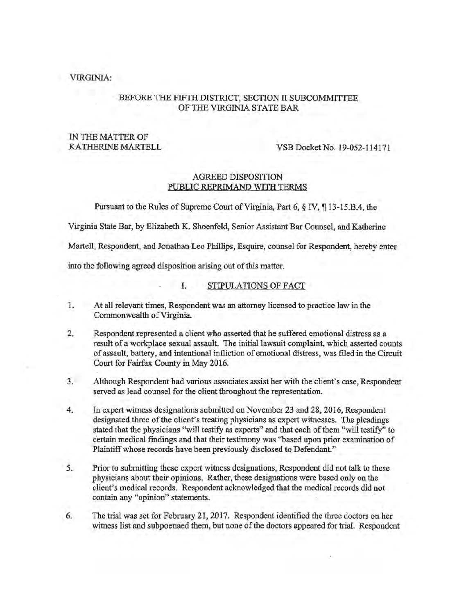#### VIRGINIA:

#### BEFORE THE FIFTH DISTRICT, SECTION II SUBCOMMITTEE OF THE VIRGINIA STATE BAR

## IN THE MATTER OF

KATHERINE MARTELL VSB Docket No. 19-052-114171

#### AGREED DISPOSITION PUBLIC REPRIMAND WITH TERMS

Pursuant to the Rules of Supreme Court of Virginia, Part 6, § IV, ¶ 13-15.B.4, the

Virginia State Bar, by Elizabeth K. Shoenfeld, Senior Assistant Bar Counsel, and Katherine

Martell, Respondent, and Jonathan Leo Phillips, Esquire, counsel for Respondent, hereby enter

into the following agreed disposition arising out of this matter.

- I. STIPULATIONS OF FACT
- 1. At all relevant times, Respondent was an attorney licensed to practice law in the Commonwealth of Virginia.
- 2. Respondent represented a client who asserted that he suffered emotional distress as a result of a workplace sexual assault. The initial lawsuit complaint, which asserted counts of assault, battery, and intentional infliction of emotional distress, was filed in the Circuit Court for Fairfax County in May 2016.
- 3. Although Respondent had various associates assist her with the client's case, Respondent served as lead counsel for the client throughout the representation.
- 4. In expert witness designations submitted on November 23 and 28, 2016, Respondent designated three of the client's treating physicians as expert witnesses. The pleadings stated that the physicians "will testify as experts" and that each of them "will testify" to certain medical findings and that their testimony was ''based upon prior examination of Plaintiff whose records have been previously disclosed to Defendant."
- 5. Prior to submitting these expert witness designations, Respondent did not talk to these physicians about their opinions. Rather, these designations were based only on the client's medical records. Respondent acknowledged that the medical records did not contain any "opinion" statements.
- 6. The trial was set for February 21, 2017. Respondent identified the three doctors on her witness list and subpoenaed them, but none of the doctors appeared for trial. Respondent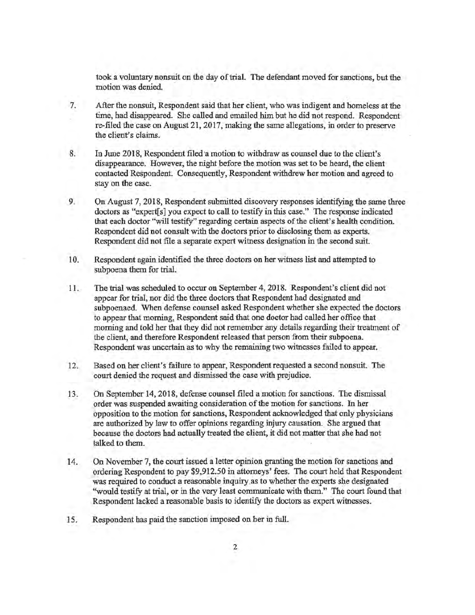took a voluntary nonsuit on the day of trial. The defendant moved for sanctions, but the motion was denied.

- 7. After the nonsuit, Respondent said that her client, who was indigent and homeless at the time, had disappeared. She called and emailed him but he did not respond. Respondent re-filed the case on August 21, 2017, making the same allegations, in order to preserve the client's claims.
- 8. In June 2018, Respondent filed a motion to withdraw as counsel due to the client's disappearance. However, the night before the motion was set to be heard, the client contacted Respondent. Consequently, Respondent withdrew her motion and agreed to stay on the case.
- 9. On August 7, 2018, Respondent submitted discovery responses identifying the same three doctors as "expert[s] you expect to call to testify in this case." The response indicated that each doctor "will testify" regarding certain aspects of the client's health condition. Respondent did not consult with the doctors prior to disclosing them as experts. Respondent did not file a separate expert witness designation in the second suit.
- I 0. Respondent again identified the three doctors on her witness list and attempted to subpoena them for trial.
- 11. The trial was scheduled to occur on September 4, 2018. Respondent's client did not appear for trial, nor did the three doctors that Respondent had designated and subpoenaed. When defense counsel asked Respondent whether she expected the doctors to appear that morning, Respondent said that one doctor had called her office that morning and told her that they did not remember any details regarding their treatment of the client, and therefore Respondent released that person from their subpoena. . Respondent was uncertain as to why the remaining two witnesses failed to appear.
- 12. Based on her client's failure to appear, Respondent requested a second nonsuit. The court denied the request and dismissed the case with prejudice.
- 13. On September 14, 2018, defense counsel filed a motion for sanctions. The dismissal order was suspended awaiting consideration of the motion for sanctions. In her opposition to the motion for sanctions, Respondent acknowledged that only physicians are authorized by law to offer opinions regarding injury causation. She argued that because the doctors had actually treated the client, it did not matter that she had not talked to them.
- 14. On November 7, the court issued a letter opinion granting the motion for sanctions and ordering Respondent to pay \$9,912.50 in attorneys' fees. The court held that Respondent was required to conduct a reasonable inquiry as to whether the experts she designated "would testify at trial, or in the very least communicate with them." The court found that Respondent lacked a reasonable basis to identify the doctors as expert witnesses.
- 15. Respondent has paid the sanction imposed on her in full.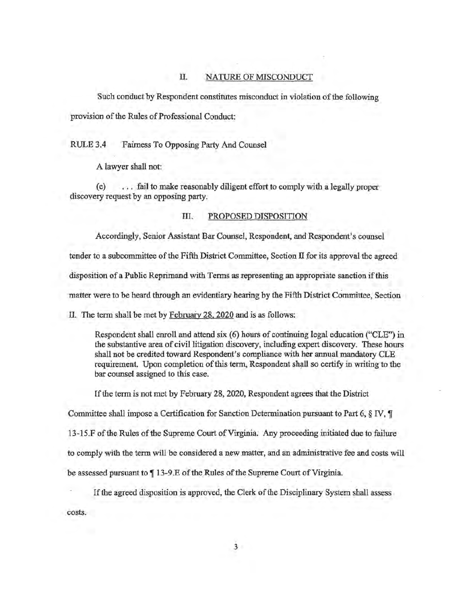#### II. NATURE OF MISCONDUCT

Such conduct by Respondent constitutes misconduct in violation of the following provision of the Rules of Professional Conduct:

RULE 3.4 Fairness To Opposing Party And Counsel

A lawyer shall not:

(e) ... fail to make reasonably diligent effort to comply with a legally proper discovery request by an opposing party.

#### III. PROPOSED DISPOSITION

Accordingly, Senior Assistant Bar Counsel, Respondent, and Respondent's counsel

tender to a subcommittee of the Fifth District Committee, Section II for its approval the agreed

disposition of a Public Reprimand with Terms as representing an appropriate sanction if this

matter were to be heard through an evidentiary hearing by the Fifth District Committee, Section

II. The term shall be met by February 28, 2020 and is as follows:

Respondent shall enroll and attend six (6) hours of continuing legal education ("CLE") in the substantive area of civil litigation discovery, including expert discovery. These hours shall not be credited toward Respondent's compliance with her annual mandatory CLE requirement. Upon completion of this term, Respondent shall so certify in writing to the bar counsel assigned to this case.

If the term is not met by February 28, 2020, Respondent agrees that the District

Committee shall impose a Certification for Sanction Determination pursuant to Part 6,  $\S$  IV,  $\P$ 

13-15 .F of the Rules of the Supreme Court of Virginia; Any proceeding initiated due to failure

to comply with the term will be considered a new matter, and an administrative fee and costs will

be assessed pursuant to  $\P$  13-9.E of the Rules of the Supreme Court of Virginia.

If the agreed disposition is approved, the Clerk of the Disciplinary System shall assess

costs.